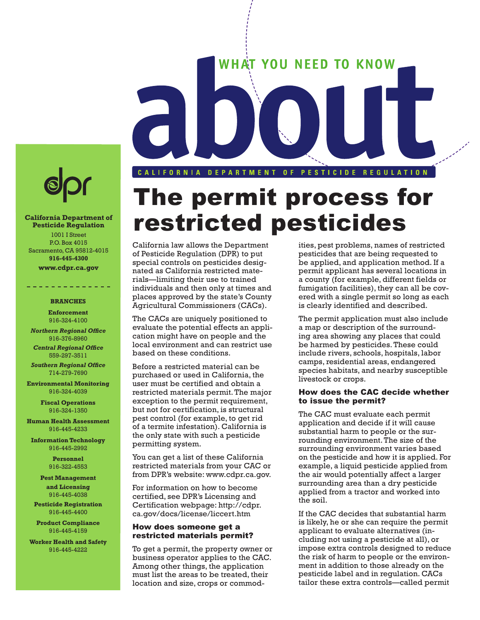



#### **California Department of Pesticide Regulation** 1001 I Street P.O. Box 4015

Sacramento, CA 95812-4015 **916-445-4300**

**[www.cdpr.ca.gov](http://www.cdpr.ca.gov)**

#### **BRANCHES**

**Enforcement** 916-324-4100

*Northern Regional Office* 916-376-8960

*Central Regional Office* 559-297-3511

**Southern Regional Office** 714-279-7690

**Environmental Monitoring** 916-324-4039

> **Fiscal Operations** 916-324-1350

**Human Health Assessment** 916-445-4233

**Information Technology** 916-445-2992

> **Personnel** 916-322-4553

**Pest Management and Licensing** 916-445-4038

**Pesticide Registration** 916-445-4400

**Product Compliance** 916-445-4159

**Worker Health and Safety** 916-445-4222

# The permit process for restricted pesticides

California law allows the Department of Pesticide Regulation (DPR) to put special controls on pesticides designated as California restricted materials—limiting their use to trained individuals and then only at times and places approved by the state's County Agricultural Commissioners (CACs).

The CACs are uniquely positioned to evaluate the potential effects an application might have on people and the local environment and can restrict use based on these conditions.

Before a restricted material can be purchased or used in California, the user must be certified and obtain a restricted materials permit. The major exception to the permit requirement, but not for certification, is structural pest control (for example, to get rid of a termite infestation). California is the only state with such a pesticide permitting system.

You can get a list of these California restricted materials from your CAC or from DPR's website[: www.cdpr.ca.gov.](http://www.cdpr.ca.gov)

For information on how to become certified, see DPR's Licensing and Certification webpage[: http://cdpr.](http://www.cdpr.ca.gov/docs/license/liccert.htm) [ca.gov/docs/license/liccert.htm](http://www.cdpr.ca.gov/docs/license/liccert.htm) 

#### How does someone get a restricted materials permit?

To get a permit, the property owner or business operator applies to the CAC. Among other things, the application must list the areas to be treated, their location and size, crops or commod-

ities, pest problems, names of restricted pesticides that are being requested to be applied, and application method. If a permit applicant has several locations in a county (for example, different fields or fumigation facilities), they can all be covered with a single permit so long as each is clearly identified and described.

The permit application must also include a map or description of the surrounding area showing any places that could be harmed by pesticides. These could include rivers, schools, hospitals, labor camps, residential areas, endangered species habitats, and nearby susceptible livestock or crops.

#### How does the CAC decide whether to issue the permit?

The CAC must evaluate each permit application and decide if it will cause substantial harm to people or the surrounding environment. The size of the surrounding environment varies based on the pesticide and how it is applied. For example, a liquid pesticide applied from the air would potentially affect a larger surrounding area than a dry pesticide applied from a tractor and worked into the soil.

If the CAC decides that substantial harm is likely, he or she can require the permit applicant to evaluate alternatives (including not using a pesticide at all), or impose extra controls designed to reduce the risk of harm to people or the environment in addition to those already on the pesticide label and in regulation. CACs tailor these extra controls—called permit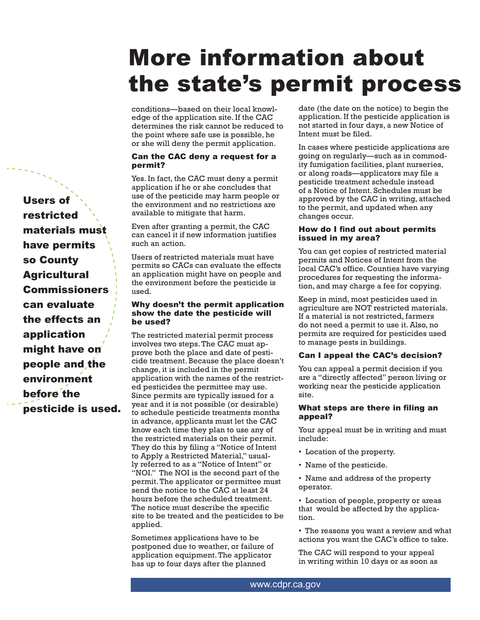# More information about the state's permit process

conditions—based on their local knowledge of the application site. If the CAC determines the risk cannot be reduced to the point where safe use is possible, he or she will deny the permit application.

# Can the CAC deny a request for a permit?

Yes. In fact, the CAC must deny a permit application if he or she concludes that use of the pesticide may harm people or the environment and no restrictions are available to mitigate that harm.

Even after granting a permit, the CAC can cancel it if new information justifies such an action.

Users of restricted materials must have permits so CACs can evaluate the effects an application might have on people and the environment before the pesticide is used.

# Why doesn't the permit application show the date the pesticide will be used?

The restricted material permit process involves two steps. The CAC must approve both the place and date of pesticide treatment. Because the place doesn't change, it is included in the permit application with the names of the restricted pesticides the permittee may use. Since permits are typically issued for a year and it is not possible (or desirable) to schedule pesticide treatments months in advance, applicants must let the CAC know each time they plan to use any of the restricted materials on their permit. They do this by filing a "Notice of Intent to Apply a Restricted Material," usually referred to as a "Notice of Intent" or "NOI." The NOI is the second part of the permit. The applicator or permittee must send the notice to the CAC at least 24 hours before the scheduled treatment. The notice must describe the specific site to be treated and the pesticides to be applied.

Sometimes applications have to be postponed due to weather, or failure of application equipment. The applicator has up to four days after the planned

date (the date on the notice) to begin the application. If the pesticide application is not started in four days, a new Notice of Intent must be filed.

In cases where pesticide applications are going on regularly—such as in commodity fumigation facilities, plant nurseries, or along roads—applicators may file a pesticide treatment schedule instead of a Notice of Intent. Schedules must be approved by the CAC in writing, attached to the permit, and updated when any changes occur.

# How do I find out about permits issued in my area?

You can get copies of restricted material permits and Notices of Intent from the local CAC's office. Counties have varying procedures for requesting the information, and may charge a fee for copying.

Keep in mind, most pesticides used in agriculture are NOT restricted materials. If a material is not restricted, farmers do not need a permit to use it. Also, no permits are required for pesticides used to manage pests in buildings.

# Can I appeal the CAC's decision?

You can appeal a permit decision if you are a "directly affected" person living or working near the pesticide application site.

# What steps are there in filing an appeal?

Your appeal must be in writing and must include:

- Location of the property.
- Name of the pesticide.

• Name and address of the property operator.

• Location of people, property or areas that would be affected by the application.

• The reasons you want a review and what actions you want the CAC's office to take.

The CAC will respond to your appeal in writing within 10 days or as soon as

Users of restricted materials must have permits so County **Agricultural Commissioners** can evaluate the effects an application might have on people and the environment before the pesticide is used.